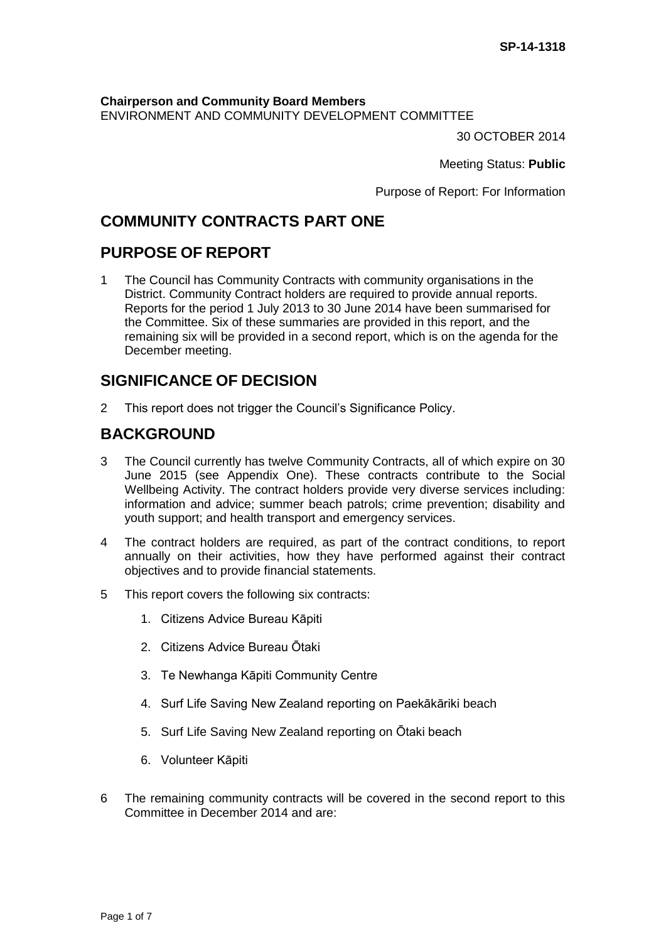**Chairperson and Community Board Members** ENVIRONMENT AND COMMUNITY DEVELOPMENT COMMITTEE

30 OCTOBER 2014

Meeting Status: **Public**

Purpose of Report: For Information

# **COMMUNITY CONTRACTS PART ONE**

## **PURPOSE OF REPORT**

1 The Council has Community Contracts with community organisations in the District. Community Contract holders are required to provide annual reports. Reports for the period 1 July 2013 to 30 June 2014 have been summarised for the Committee. Six of these summaries are provided in this report, and the remaining six will be provided in a second report, which is on the agenda for the December meeting.

# **SIGNIFICANCE OF DECISION**

2 This report does not trigger the Council's Significance Policy.

## **BACKGROUND**

- 3 The Council currently has twelve Community Contracts, all of which expire on 30 June 2015 (see Appendix One). These contracts contribute to the Social Wellbeing Activity. The contract holders provide very diverse services including: information and advice; summer beach patrols; crime prevention; disability and youth support; and health transport and emergency services.
- 4 The contract holders are required, as part of the contract conditions, to report annually on their activities, how they have performed against their contract objectives and to provide financial statements.
- 5 This report covers the following six contracts:
	- 1. Citizens Advice Bureau Kāpiti
	- 2. Citizens Advice Bureau Ōtaki
	- 3. Te Newhanga Kāpiti Community Centre
	- 4. Surf Life Saving New Zealand reporting on Paekākāriki beach
	- 5. Surf Life Saving New Zealand reporting on Ōtaki beach
	- 6. Volunteer Kāpiti
- 6 The remaining community contracts will be covered in the second report to this Committee in December 2014 and are: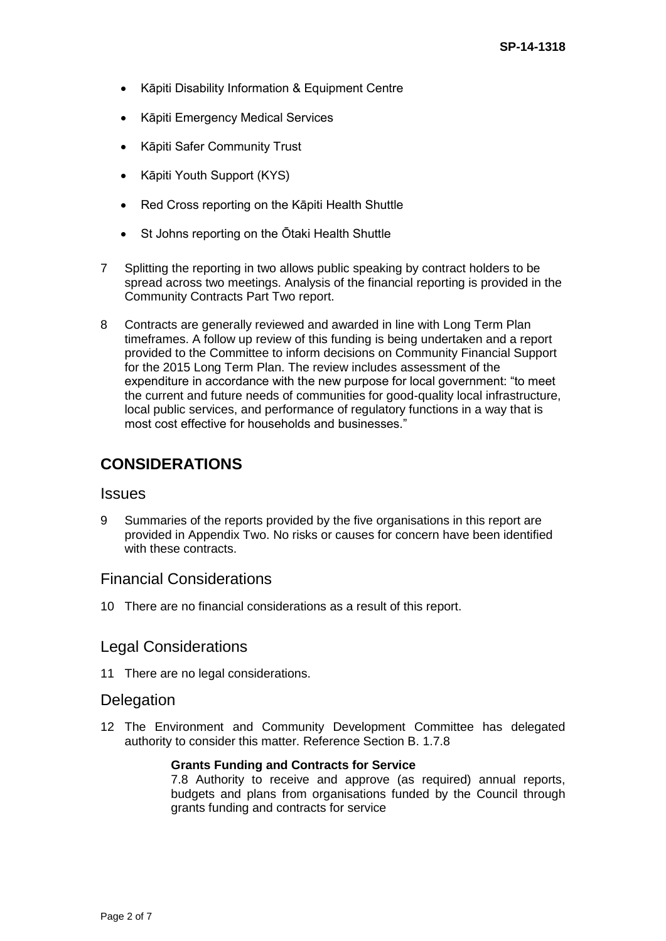- Kāpiti Disability Information & Equipment Centre
- Kāpiti Emergency Medical Services
- Kāpiti Safer Community Trust
- Kāpiti Youth Support (KYS)
- Red Cross reporting on the Kāpiti Health Shuttle
- St Johns reporting on the Ōtaki Health Shuttle
- 7 Splitting the reporting in two allows public speaking by contract holders to be spread across two meetings. Analysis of the financial reporting is provided in the Community Contracts Part Two report.
- 8 Contracts are generally reviewed and awarded in line with Long Term Plan timeframes. A follow up review of this funding is being undertaken and a report provided to the Committee to inform decisions on Community Financial Support for the 2015 Long Term Plan. The review includes assessment of the expenditure in accordance with the new purpose for local government: "to meet the current and future needs of communities for good-quality local infrastructure, local public services, and performance of regulatory functions in a way that is most cost effective for households and businesses."

# **CONSIDERATIONS**

### **Issues**

9 Summaries of the reports provided by the five organisations in this report are provided in Appendix Two. No risks or causes for concern have been identified with these contracts.

### Financial Considerations

10 There are no financial considerations as a result of this report.

### Legal Considerations

11 There are no legal considerations.

### **Delegation**

12 The Environment and Community Development Committee has delegated authority to consider this matter. Reference Section B. 1.7.8

### **Grants Funding and Contracts for Service**

7.8 Authority to receive and approve (as required) annual reports, budgets and plans from organisations funded by the Council through grants funding and contracts for service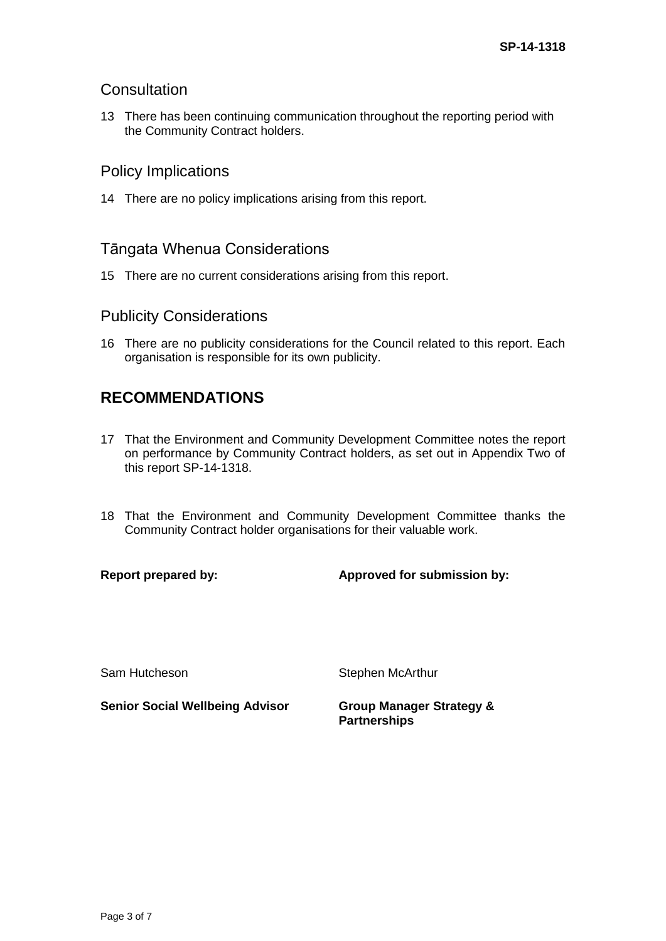### **Consultation**

13 There has been continuing communication throughout the reporting period with the Community Contract holders.

## Policy Implications

14 There are no policy implications arising from this report.

## Tāngata Whenua Considerations

15 There are no current considerations arising from this report.

### Publicity Considerations

16 There are no publicity considerations for the Council related to this report. Each organisation is responsible for its own publicity.

# **RECOMMENDATIONS**

- 17 That the Environment and Community Development Committee notes the report on performance by Community Contract holders, as set out in Appendix Two of this report SP-14-1318.
- 18 That the Environment and Community Development Committee thanks the Community Contract holder organisations for their valuable work.

**Report prepared by: Approved for submission by:**

Sam Hutcheson Stephen McArthur

**Senior Social Wellbeing Advisor Group Manager Strategy &** 

**Partnerships**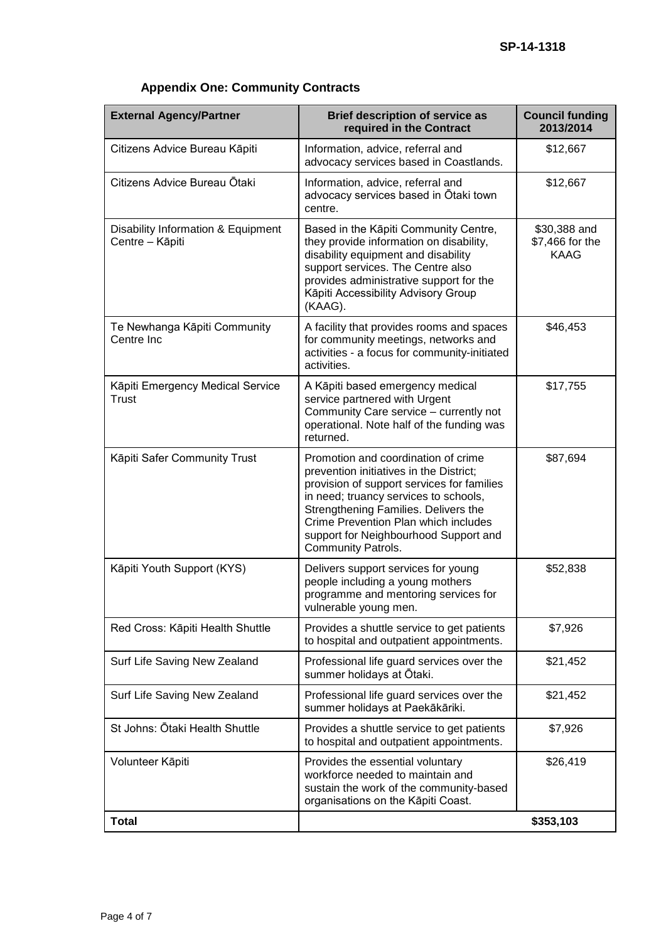# **Appendix One: Community Contracts**

| <b>External Agency/Partner</b>                        | <b>Brief description of service as</b><br>required in the Contract                                                                                                                                                                                                                                                   | <b>Council funding</b><br>2013/2014            |
|-------------------------------------------------------|----------------------------------------------------------------------------------------------------------------------------------------------------------------------------------------------------------------------------------------------------------------------------------------------------------------------|------------------------------------------------|
| Citizens Advice Bureau Kāpiti                         | Information, advice, referral and<br>advocacy services based in Coastlands.                                                                                                                                                                                                                                          | \$12,667                                       |
| Citizens Advice Bureau Ōtaki                          | Information, advice, referral and<br>advocacy services based in Otaki town<br>centre.                                                                                                                                                                                                                                | \$12,667                                       |
| Disability Information & Equipment<br>Centre - Kāpiti | Based in the Kāpiti Community Centre,<br>they provide information on disability,<br>disability equipment and disability<br>support services. The Centre also<br>provides administrative support for the<br>Kāpiti Accessibility Advisory Group<br>(KAAG).                                                            | \$30,388 and<br>\$7,466 for the<br><b>KAAG</b> |
| Te Newhanga Kāpiti Community<br>Centre Inc            | A facility that provides rooms and spaces<br>for community meetings, networks and<br>activities - a focus for community-initiated<br>activities.                                                                                                                                                                     | \$46,453                                       |
| Kāpiti Emergency Medical Service<br><b>Trust</b>      | A Kāpiti based emergency medical<br>service partnered with Urgent<br>Community Care service - currently not<br>operational. Note half of the funding was<br>returned.                                                                                                                                                | \$17,755                                       |
| Kāpiti Safer Community Trust                          | Promotion and coordination of crime<br>prevention initiatives in the District;<br>provision of support services for families<br>in need; truancy services to schools,<br>Strengthening Families. Delivers the<br>Crime Prevention Plan which includes<br>support for Neighbourhood Support and<br>Community Patrols. | \$87,694                                       |
| Kāpiti Youth Support (KYS)                            | Delivers support services for young<br>people including a young mothers<br>programme and mentoring services for<br>vulnerable young men.                                                                                                                                                                             | \$52,838                                       |
| Red Cross: Kāpiti Health Shuttle                      | Provides a shuttle service to get patients<br>to hospital and outpatient appointments.                                                                                                                                                                                                                               | \$7,926                                        |
| Surf Life Saving New Zealand                          | Professional life guard services over the<br>summer holidays at Ōtaki.                                                                                                                                                                                                                                               | \$21,452                                       |
| Surf Life Saving New Zealand                          | Professional life guard services over the<br>summer holidays at Paekākāriki.                                                                                                                                                                                                                                         | \$21,452                                       |
| St Johns: Ōtaki Health Shuttle                        | Provides a shuttle service to get patients<br>to hospital and outpatient appointments.                                                                                                                                                                                                                               | \$7,926                                        |
| Volunteer Kāpiti                                      | Provides the essential voluntary<br>workforce needed to maintain and<br>sustain the work of the community-based<br>organisations on the Kāpiti Coast.                                                                                                                                                                | \$26,419                                       |
| <b>Total</b>                                          |                                                                                                                                                                                                                                                                                                                      | \$353,103                                      |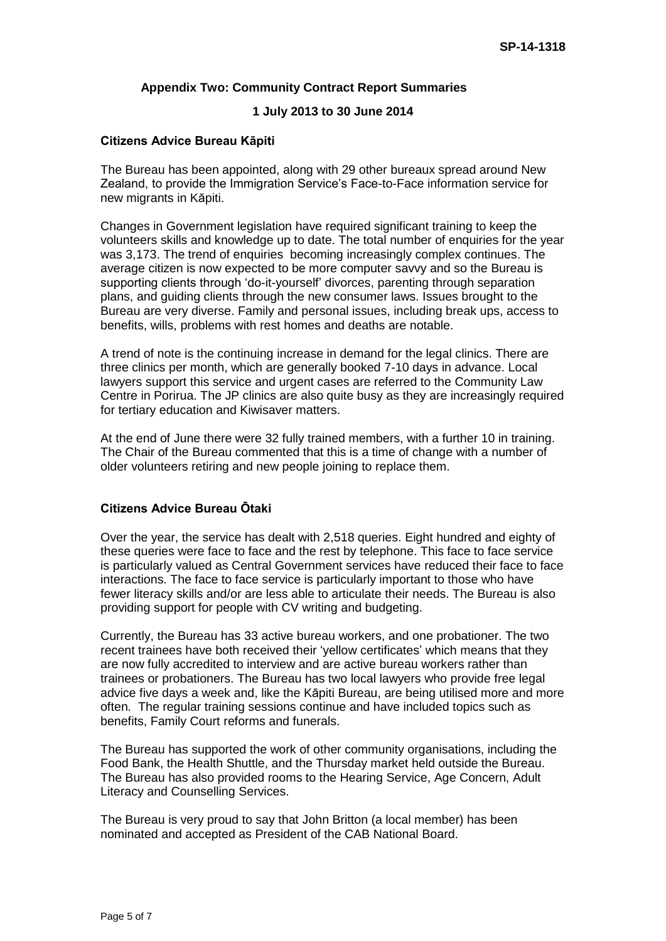#### **Appendix Two: Community Contract Report Summaries**

#### **1 July 2013 to 30 June 2014**

#### **Citizens Advice Bureau Kāpiti**

The Bureau has been appointed, along with 29 other bureaux spread around New Zealand, to provide the Immigration Service's Face-to-Face information service for new migrants in Kāpiti.

Changes in Government legislation have required significant training to keep the volunteers skills and knowledge up to date. The total number of enquiries for the year was 3,173. The trend of enquiries becoming increasingly complex continues. The average citizen is now expected to be more computer savvy and so the Bureau is supporting clients through 'do-it-yourself' divorces, parenting through separation plans, and guiding clients through the new consumer laws. Issues brought to the Bureau are very diverse. Family and personal issues, including break ups, access to benefits, wills, problems with rest homes and deaths are notable.

A trend of note is the continuing increase in demand for the legal clinics. There are three clinics per month, which are generally booked 7-10 days in advance. Local lawyers support this service and urgent cases are referred to the Community Law Centre in Porirua. The JP clinics are also quite busy as they are increasingly required for tertiary education and Kiwisaver matters.

At the end of June there were 32 fully trained members, with a further 10 in training. The Chair of the Bureau commented that this is a time of change with a number of older volunteers retiring and new people joining to replace them.

### **Citizens Advice Bureau Ōtaki**

Over the year, the service has dealt with 2,518 queries. Eight hundred and eighty of these queries were face to face and the rest by telephone. This face to face service is particularly valued as Central Government services have reduced their face to face interactions. The face to face service is particularly important to those who have fewer literacy skills and/or are less able to articulate their needs. The Bureau is also providing support for people with CV writing and budgeting.

Currently, the Bureau has 33 active bureau workers, and one probationer. The two recent trainees have both received their 'yellow certificates' which means that they are now fully accredited to interview and are active bureau workers rather than trainees or probationers. The Bureau has two local lawyers who provide free legal advice five days a week and, like the Kāpiti Bureau, are being utilised more and more often. The regular training sessions continue and have included topics such as benefits, Family Court reforms and funerals.

The Bureau has supported the work of other community organisations, including the Food Bank, the Health Shuttle, and the Thursday market held outside the Bureau. The Bureau has also provided rooms to the Hearing Service, Age Concern, Adult Literacy and Counselling Services.

The Bureau is very proud to say that John Britton (a local member) has been nominated and accepted as President of the CAB National Board.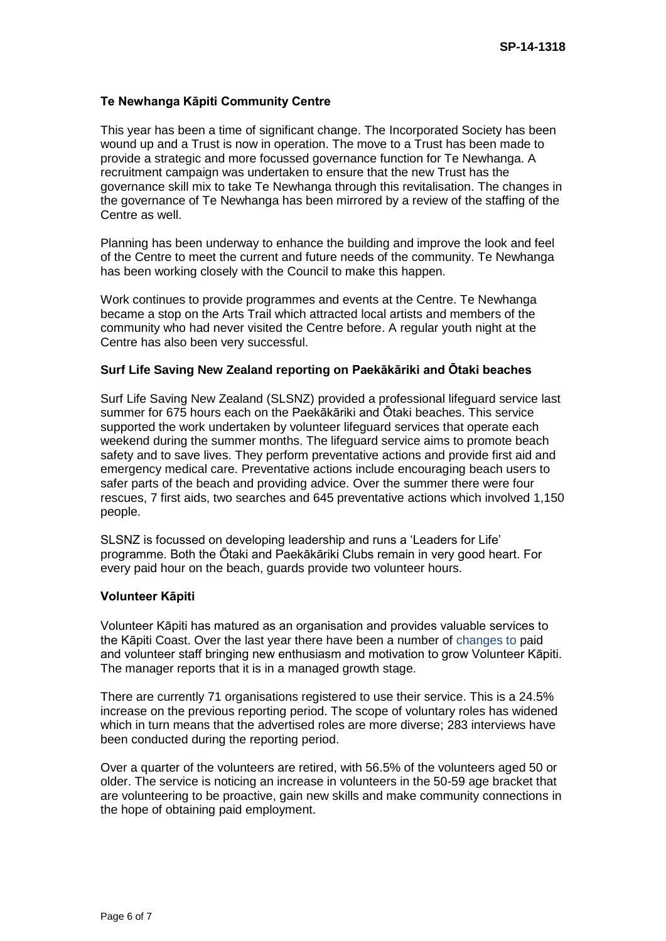### **Te Newhanga Kāpiti Community Centre**

This year has been a time of significant change. The Incorporated Society has been wound up and a Trust is now in operation. The move to a Trust has been made to provide a strategic and more focussed governance function for Te Newhanga. A recruitment campaign was undertaken to ensure that the new Trust has the governance skill mix to take Te Newhanga through this revitalisation. The changes in the governance of Te Newhanga has been mirrored by a review of the staffing of the Centre as well.

Planning has been underway to enhance the building and improve the look and feel of the Centre to meet the current and future needs of the community. Te Newhanga has been working closely with the Council to make this happen.

Work continues to provide programmes and events at the Centre. Te Newhanga became a stop on the Arts Trail which attracted local artists and members of the community who had never visited the Centre before. A regular youth night at the Centre has also been very successful.

#### **Surf Life Saving New Zealand reporting on Paekākāriki and Ōtaki beaches**

Surf Life Saving New Zealand (SLSNZ) provided a professional lifeguard service last summer for 675 hours each on the Paekākāriki and Ōtaki beaches. This service supported the work undertaken by volunteer lifeguard services that operate each weekend during the summer months. The lifeguard service aims to promote beach safety and to save lives. They perform preventative actions and provide first aid and emergency medical care. Preventative actions include encouraging beach users to safer parts of the beach and providing advice. Over the summer there were four rescues, 7 first aids, two searches and 645 preventative actions which involved 1,150 people.

SLSNZ is focussed on developing leadership and runs a 'Leaders for Life' programme. Both the Ōtaki and Paekākāriki Clubs remain in very good heart. For every paid hour on the beach, guards provide two volunteer hours.

#### **Volunteer Kāpiti**

Volunteer Kāpiti has matured as an organisation and provides valuable services to the Kāpiti Coast. Over the last year there have been a number of changes to paid and volunteer staff bringing new enthusiasm and motivation to grow Volunteer Kāpiti. The manager reports that it is in a managed growth stage.

There are currently 71 organisations registered to use their service. This is a 24.5% increase on the previous reporting period. The scope of voluntary roles has widened which in turn means that the advertised roles are more diverse; 283 interviews have been conducted during the reporting period.

Over a quarter of the volunteers are retired, with 56.5% of the volunteers aged 50 or older. The service is noticing an increase in volunteers in the 50-59 age bracket that are volunteering to be proactive, gain new skills and make community connections in the hope of obtaining paid employment.